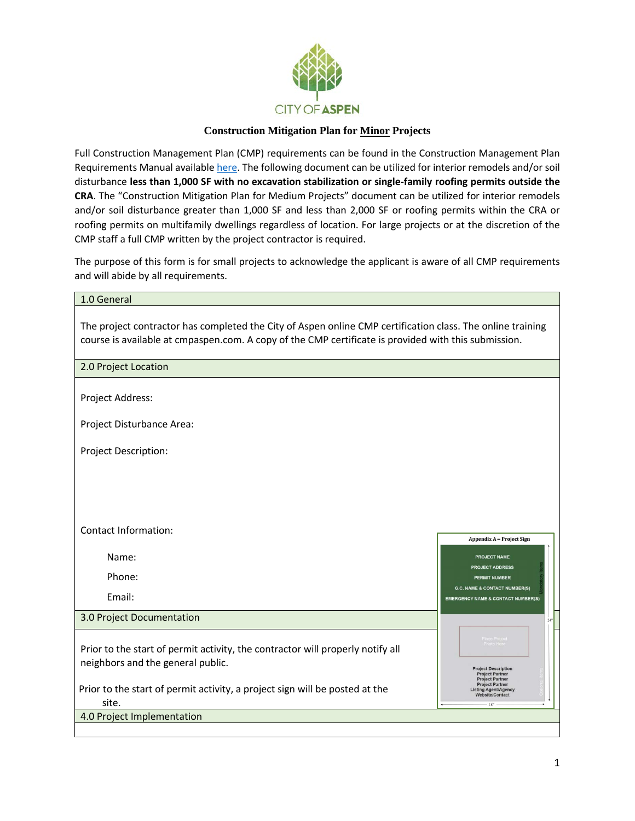

# **Construction Mitigation Plan for Minor Projects**

Full Construction Management Plan (CMP) requirements can be found in the Construction Management Plan Requirements Manual available [here.](https://www.cityofaspen.com/DocumentCenter/View/507/Construction-Mitigation-Plan-Manual-PDF?bidId=) The following document can be utilized for interior remodels and/or soil disturbance **less than 1,000 SF with no excavation stabilization or single-family roofing permits outside the CRA**. The "Construction Mitigation Plan for Medium Projects" document can be utilized for interior remodels and/or soil disturbance greater than 1,000 SF and less than 2,000 SF or roofing permits within the CRA or roofing permits on multifamily dwellings regardless of location. For large projects or at the discretion of the CMP staff a full CMP written by the project contractor is required.

The purpose of this form is for small projects to acknowledge the applicant is aware of all CMP requirements and will abide by all requirements.

| 1.0 General                                                                                                                                                                                                        |                                                                                                                                                                                             |
|--------------------------------------------------------------------------------------------------------------------------------------------------------------------------------------------------------------------|---------------------------------------------------------------------------------------------------------------------------------------------------------------------------------------------|
| The project contractor has completed the City of Aspen online CMP certification class. The online training<br>course is available at cmpaspen.com. A copy of the CMP certificate is provided with this submission. |                                                                                                                                                                                             |
| 2.0 Project Location                                                                                                                                                                                               |                                                                                                                                                                                             |
| Project Address:                                                                                                                                                                                                   |                                                                                                                                                                                             |
| Project Disturbance Area:                                                                                                                                                                                          |                                                                                                                                                                                             |
| Project Description:                                                                                                                                                                                               |                                                                                                                                                                                             |
|                                                                                                                                                                                                                    |                                                                                                                                                                                             |
|                                                                                                                                                                                                                    |                                                                                                                                                                                             |
| <b>Contact Information:</b>                                                                                                                                                                                        | <b>Appendix A - Project Sign</b>                                                                                                                                                            |
| Name:                                                                                                                                                                                                              | <b>PROJECT NAME</b>                                                                                                                                                                         |
| Phone:                                                                                                                                                                                                             | <b>PROJECT ADDRESS</b><br><b>PERMIT NUMBER</b>                                                                                                                                              |
| Email:                                                                                                                                                                                                             | <b>G.C. NAME &amp; CONTACT NUMBER(S)</b><br><b>EMERGENCY NAME &amp; CONTACT NUMBER(S)</b>                                                                                                   |
| 3.0 Project Documentation                                                                                                                                                                                          |                                                                                                                                                                                             |
| Prior to the start of permit activity, the contractor will properly notify all<br>neighbors and the general public.<br>Prior to the start of permit activity, a project sign will be posted at the<br>site.        | Photo Here<br><b>Project Description</b><br><b>Project Partner</b><br><b>Project Partner</b><br><b>Project Partner</b><br><b>Listing Agent/Agency</b><br>Website/Contact<br>18 <sup>m</sup> |
| 4.0 Project Implementation                                                                                                                                                                                         |                                                                                                                                                                                             |
|                                                                                                                                                                                                                    |                                                                                                                                                                                             |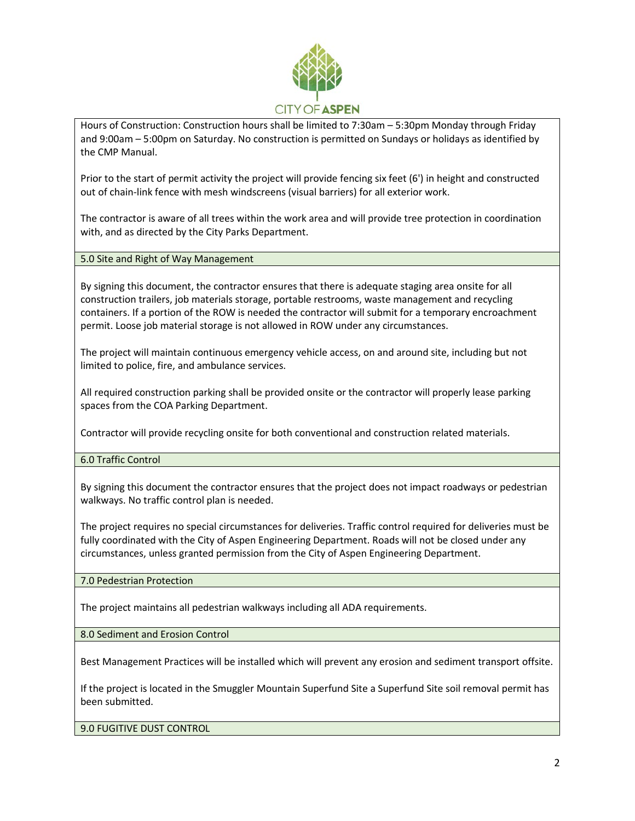

Hours of Construction: Construction hours shall be limited to 7:30am – 5:30pm Monday through Friday and 9:00am – 5:00pm on Saturday. No construction is permitted on Sundays or holidays as identified by the CMP Manual.

Prior to the start of permit activity the project will provide fencing six feet (6') in height and constructed out of chain-link fence with mesh windscreens (visual barriers) for all exterior work.

The contractor is aware of all trees within the work area and will provide tree protection in coordination with, and as directed by the City Parks Department.

5.0 Site and Right of Way Management

By signing this document, the contractor ensures that there is adequate staging area onsite for all construction trailers, job materials storage, portable restrooms, waste management and recycling containers. If a portion of the ROW is needed the contractor will submit for a temporary encroachment permit. Loose job material storage is not allowed in ROW under any circumstances.

The project will maintain continuous emergency vehicle access, on and around site, including but not limited to police, fire, and ambulance services.

All required construction parking shall be provided onsite or the contractor will properly lease parking spaces from the COA Parking Department.

Contractor will provide recycling onsite for both conventional and construction related materials.

6.0 Traffic Control

By signing this document the contractor ensures that the project does not impact roadways or pedestrian walkways. No traffic control plan is needed.

The project requires no special circumstances for deliveries. Traffic control required for deliveries must be fully coordinated with the City of Aspen Engineering Department. Roads will not be closed under any circumstances, unless granted permission from the City of Aspen Engineering Department.

7.0 Pedestrian Protection

The project maintains all pedestrian walkways including all ADA requirements.

8.0 Sediment and Erosion Control

Best Management Practices will be installed which will prevent any erosion and sediment transport offsite.

If the project is located in the Smuggler Mountain Superfund Site a Superfund Site soil removal permit has been submitted.

9.0 FUGITIVE DUST CONTROL